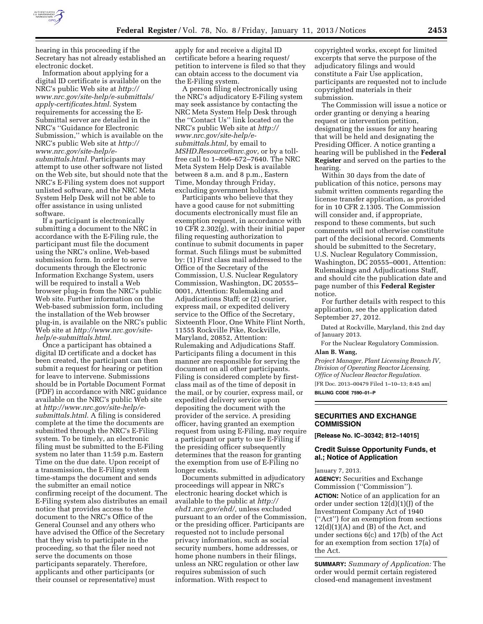

hearing in this proceeding if the Secretary has not already established an electronic docket.

Information about applying for a digital ID certificate is available on the NRC's public Web site at *[http://](http://www.nrc.gov/site-help/e-submittals/apply-certificates.html) [www.nrc.gov/site-help/e-submittals/](http://www.nrc.gov/site-help/e-submittals/apply-certificates.html)  [apply-certificates.html](http://www.nrc.gov/site-help/e-submittals/apply-certificates.html)*. System requirements for accessing the E-Submittal server are detailed in the NRC's ''Guidance for Electronic Submission,'' which is available on the NRC's public Web site at *[http://](http://www.nrc.gov/site-help/e-submittals.html) [www.nrc.gov/site-help/e](http://www.nrc.gov/site-help/e-submittals.html)[submittals.html](http://www.nrc.gov/site-help/e-submittals.html)*. Participants may attempt to use other software not listed on the Web site, but should note that the NRC's E-Filing system does not support unlisted software, and the NRC Meta System Help Desk will not be able to offer assistance in using unlisted software.

If a participant is electronically submitting a document to the NRC in accordance with the E-Filing rule, the participant must file the document using the NRC's online, Web-based submission form. In order to serve documents through the Electronic Information Exchange System, users will be required to install a Web browser plug-in from the NRC's public Web site. Further information on the Web-based submission form, including the installation of the Web browser plug-in, is available on the NRC's public Web site at *[http://www.nrc.gov/site](http://www.nrc.gov/site-help/e-submittals.html)[help/e-submittals.html](http://www.nrc.gov/site-help/e-submittals.html)*.

Once a participant has obtained a digital ID certificate and a docket has been created, the participant can then submit a request for hearing or petition for leave to intervene. Submissions should be in Portable Document Format (PDF) in accordance with NRC guidance available on the NRC's public Web site at *[http://www.nrc.gov/site-help/e](http://www.nrc.gov/site-help/e-submittals.html)[submittals.html](http://www.nrc.gov/site-help/e-submittals.html)*. A filing is considered complete at the time the documents are submitted through the NRC's E-Filing system. To be timely, an electronic filing must be submitted to the E-Filing system no later than 11:59 p.m. Eastern Time on the due date. Upon receipt of a transmission, the E-Filing system time-stamps the document and sends the submitter an email notice confirming receipt of the document. The E-Filing system also distributes an email notice that provides access to the document to the NRC's Office of the General Counsel and any others who have advised the Office of the Secretary that they wish to participate in the proceeding, so that the filer need not serve the documents on those participants separately. Therefore, applicants and other participants (or their counsel or representative) must

apply for and receive a digital ID certificate before a hearing request/ petition to intervene is filed so that they can obtain access to the document via the E-Filing system.

A person filing electronically using the NRC's adjudicatory E-Filing system may seek assistance by contacting the NRC Meta System Help Desk through the ''Contact Us'' link located on the NRC's public Web site at *[http://](http://www.nrc.gov/site-help/e-submittals.html) [www.nrc.gov/site-help/e](http://www.nrc.gov/site-help/e-submittals.html)[submittals.html,](http://www.nrc.gov/site-help/e-submittals.html)* by email to *[MSHD.Resource@nrc.gov,](mailto:MSHD.Resource@nrc.gov)* or by a tollfree call to 1–866–672–7640. The NRC Meta System Help Desk is available between 8 a.m. and 8 p.m., Eastern Time, Monday through Friday, excluding government holidays.

Participants who believe that they have a good cause for not submitting documents electronically must file an exemption request, in accordance with 10 CFR 2.302(g), with their initial paper filing requesting authorization to continue to submit documents in paper format. Such filings must be submitted by: (1) First class mail addressed to the Office of the Secretary of the Commission, U.S. Nuclear Regulatory Commission, Washington, DC 20555– 0001, Attention: Rulemaking and Adjudications Staff; or (2) courier, express mail, or expedited delivery service to the Office of the Secretary, Sixteenth Floor, One White Flint North, 11555 Rockville Pike, Rockville, Maryland, 20852, Attention: Rulemaking and Adjudications Staff. Participants filing a document in this manner are responsible for serving the document on all other participants. Filing is considered complete by firstclass mail as of the time of deposit in the mail, or by courier, express mail, or expedited delivery service upon depositing the document with the provider of the service. A presiding officer, having granted an exemption request from using E-Filing, may require a participant or party to use E-Filing if the presiding officer subsequently determines that the reason for granting the exemption from use of E-Filing no longer exists.

Documents submitted in adjudicatory proceedings will appear in NRC's electronic hearing docket which is available to the public at *[http://](http://ehd1.nrc.gov/ehd/)  [ehd1.nrc.gov/ehd/,](http://ehd1.nrc.gov/ehd/)* unless excluded pursuant to an order of the Commission, or the presiding officer. Participants are requested not to include personal privacy information, such as social security numbers, home addresses, or home phone numbers in their filings, unless an NRC regulation or other law requires submission of such information. With respect to

copyrighted works, except for limited excerpts that serve the purpose of the adjudicatory filings and would constitute a Fair Use application, participants are requested not to include copyrighted materials in their submission.

The Commission will issue a notice or order granting or denying a hearing request or intervention petition, designating the issues for any hearing that will be held and designating the Presiding Officer. A notice granting a hearing will be published in the **Federal Register** and served on the parties to the hearing.

Within 30 days from the date of publication of this notice, persons may submit written comments regarding the license transfer application, as provided for in 10 CFR 2.1305. The Commission will consider and, if appropriate, respond to these comments, but such comments will not otherwise constitute part of the decisional record. Comments should be submitted to the Secretary, U.S. Nuclear Regulatory Commission, Washington, DC 20555–0001, Attention: Rulemakings and Adjudications Staff, and should cite the publication date and page number of this **Federal Register**  notice.

For further details with respect to this application, see the application dated September 27, 2012.

Dated at Rockville, Maryland, this 2nd day of January 2013.

For the Nuclear Regulatory Commission. **Alan B. Wang,** 

*Project Manager, Plant Licensing Branch IV, Division of Operating Reactor Licensing, Office of Nuclear Reactor Regulation.* 

[FR Doc. 2013–00479 Filed 1–10–13; 8:45 am] **BILLING CODE 7590–01–P** 

**SECURITIES AND EXCHANGE COMMISSION** 

**[Release No. IC–30342; 812–14015]** 

# **Credit Suisse Opportunity Funds, et al.; Notice of Application**

January 7, 2013.

**AGENCY:** Securities and Exchange Commission (''Commission'').

**ACTION:** Notice of an application for an order under section  $12(d)(1)(J)$  of the Investment Company Act of 1940 (''Act'') for an exemption from sections  $12(d)(1)(A)$  and  $(B)$  of the Act, and under sections 6(c) and 17(b) of the Act for an exemption from section 17(a) of the Act.

**SUMMARY:** *Summary of Application:* The order would permit certain registered closed-end management investment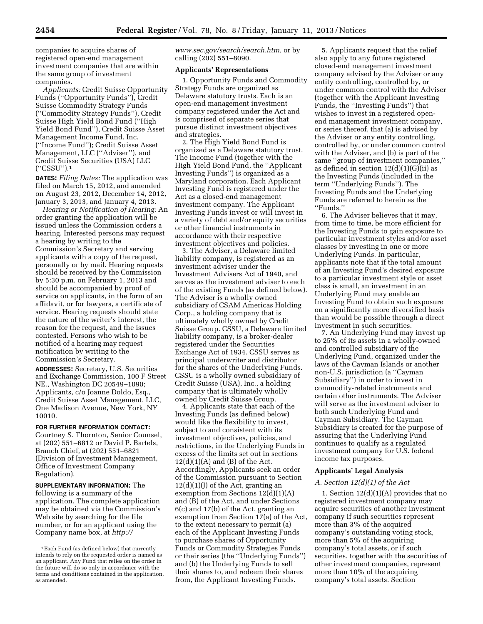companies to acquire shares of registered open-end management investment companies that are within the same group of investment companies.

*Applicants:* Credit Suisse Opportunity Funds (''Opportunity Funds''), Credit Suisse Commodity Strategy Funds (''Commodity Strategy Funds''), Credit Suisse High Yield Bond Fund (''High Yield Bond Fund''), Credit Suisse Asset Management Income Fund, Inc. (''Income Fund''); Credit Suisse Asset Management, LLC (''Adviser''), and Credit Suisse Securities (USA) LLC (''CSSU'').1

**DATES:** *Filing Dates:* The application was filed on March 15, 2012, and amended on August 23, 2012, December 14, 2012, January 3, 2013, and January 4, 2013.

*Hearing or Notification of Hearing:* An order granting the application will be issued unless the Commission orders a hearing. Interested persons may request a hearing by writing to the Commission's Secretary and serving applicants with a copy of the request, personally or by mail. Hearing requests should be received by the Commission by 5:30 p.m. on February 1, 2013 and should be accompanied by proof of service on applicants, in the form of an affidavit, or for lawyers, a certificate of service. Hearing requests should state the nature of the writer's interest, the reason for the request, and the issues contested. Persons who wish to be notified of a hearing may request notification by writing to the Commission's Secretary.

**ADDRESSES:** Secretary, U.S. Securities and Exchange Commission, 100 F Street NE., Washington DC 20549–1090; Applicants, c/o Joanne Doldo, Esq., Credit Suisse Asset Management, LLC, One Madison Avenue, New York, NY 10010.

### **FOR FURTHER INFORMATION CONTACT:**

Courtney S. Thornton, Senior Counsel, at (202) 551–6812 or David P. Bartels, Branch Chief, at (202) 551–6821 (Division of Investment Management, Office of Investment Company Regulation).

**SUPPLEMENTARY INFORMATION:** The following is a summary of the application. The complete application may be obtained via the Commission's Web site by searching for the file number, or for an applicant using the Company name box, at *[http://](http://www.sec.gov/search/search.htm)* 

*[www.sec.gov/search/search.htm,](http://www.sec.gov/search/search.htm)* or by calling (202) 551–8090.

#### **Applicants' Representations**

1. Opportunity Funds and Commodity Strategy Funds are organized as Delaware statutory trusts. Each is an open-end management investment company registered under the Act and is comprised of separate series that pursue distinct investment objectives and strategies.

2. The High Yield Bond Fund is organized as a Delaware statutory trust. The Income Fund (together with the High Yield Bond Fund, the ''Applicant Investing Funds'') is organized as a Maryland corporation. Each Applicant Investing Fund is registered under the Act as a closed-end management investment company. The Applicant Investing Funds invest or will invest in a variety of debt and/or equity securities or other financial instruments in accordance with their respective investment objectives and policies.

3. The Adviser, a Delaware limited liability company, is registered as an investment adviser under the Investment Advisers Act of 1940, and serves as the investment adviser to each of the existing Funds (as defined below). The Adviser is a wholly owned subsidiary of CSAM Americas Holding Corp., a holding company that is ultimately wholly owned by Credit Suisse Group. CSSU, a Delaware limited liability company, is a broker-dealer registered under the Securities Exchange Act of 1934. CSSU serves as principal underwriter and distributor for the shares of the Underlying Funds. CSSU is a wholly owned subsidiary of Credit Suisse (USA), Inc., a holding company that is ultimately wholly owned by Credit Suisse Group.

4. Applicants state that each of the Investing Funds (as defined below) would like the flexibility to invest, subject to and consistent with its investment objectives, policies, and restrictions, in the Underlying Funds in excess of the limits set out in sections  $12(d)(1)(A)$  and  $(B)$  of the Act. Accordingly, Applicants seek an order of the Commission pursuant to Section  $12(d)(1)(J)$  of the Act, granting an exemption from Sections  $12(\bar{d})(1)(A)$ and (B) of the Act, and under Sections 6(c) and 17(b) of the Act, granting an exemption from Section 17(a) of the Act, to the extent necessary to permit (a) each of the Applicant Investing Funds to purchase shares of Opportunity Funds or Commodity Strategies Funds or their series (the ''Underlying Funds'') and (b) the Underlying Funds to sell their shares to, and redeem their shares from, the Applicant Investing Funds.

5. Applicants request that the relief also apply to any future registered closed-end management investment company advised by the Adviser or any entity controlling, controlled by, or under common control with the Adviser (together with the Applicant Investing Funds, the ''Investing Funds'') that wishes to invest in a registered openend management investment company, or series thereof, that (a) is advised by the Adviser or any entity controlling, controlled by, or under common control with the Adviser, and (b) is part of the same ''group of investment companies,'' as defined in section  $12(d)(1)(G)(ii)$  as the Investing Funds (included in the term ''Underlying Funds''). The Investing Funds and the Underlying Funds are referred to herein as the ''Funds.''

6. The Adviser believes that it may, from time to time, be more efficient for the Investing Funds to gain exposure to particular investment styles and/or asset classes by investing in one or more Underlying Funds. In particular, applicants note that if the total amount of an Investing Fund's desired exposure to a particular investment style or asset class is small, an investment in an Underlying Fund may enable an Investing Fund to obtain such exposure on a significantly more diversified basis than would be possible through a direct investment in such securities.

7. An Underlying Fund may invest up to 25% of its assets in a wholly-owned and controlled subsidiary of the Underlying Fund, organized under the laws of the Cayman Islands or another non-U.S. jurisdiction (a ''Cayman Subsidiary'') in order to invest in commodity-related instruments and certain other instruments. The Adviser will serve as the investment adviser to both such Underlying Fund and Cayman Subsidiary. The Cayman Subsidiary is created for the purpose of assuring that the Underlying Fund continues to qualify as a regulated investment company for U.S. federal income tax purposes.

### **Applicants' Legal Analysis**

### *A. Section 12(d)(1) of the Act*

1. Section 12(d)(1)(A) provides that no registered investment company may acquire securities of another investment company if such securities represent more than 3% of the acquired company's outstanding voting stock, more than 5% of the acquiring company's total assets, or if such securities, together with the securities of other investment companies, represent more than 10% of the acquiring company's total assets. Section

<sup>1</sup>Each Fund (as defined below) that currently intends to rely on the requested order is named as an applicant. Any Fund that relies on the order in the future will do so only in accordance with the terms and conditions contained in the application, as amended.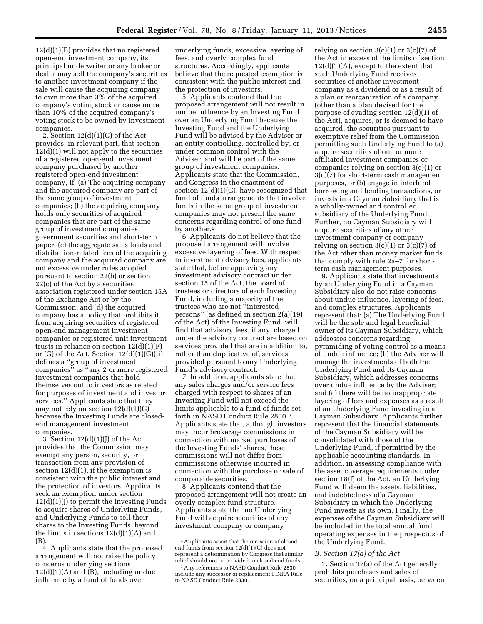12(d)(1)(B) provides that no registered open-end investment company, its principal underwriter or any broker or dealer may sell the company's securities to another investment company if the sale will cause the acquiring company to own more than 3% of the acquired company's voting stock or cause more than 10% of the acquired company's voting stock to be owned by investment companies.

2. Section 12(d)(1)(G) of the Act provides, in relevant part, that section  $12(d)(1)$  will not apply to the securities of a registered open-end investment company purchased by another registered open-end investment company, if: (a) The acquiring company and the acquired company are part of the same group of investment companies; (b) the acquiring company holds only securities of acquired companies that are part of the same group of investment companies, government securities and short-term paper; (c) the aggregate sales loads and distribution-related fees of the acquiring company and the acquired company are not excessive under rules adopted pursuant to section 22(b) or section 22(c) of the Act by a securities association registered under section 15A of the Exchange Act or by the Commission; and (d) the acquired company has a policy that prohibits it from acquiring securities of registered open-end management investment companies or registered unit investment trusts in reliance on section 12(d)(1)(F) or  $(G)$  of the Act. Section  $12(d)(1)(G)(ii)$ defines a ''group of investment companies'' as ''any 2 or more registered investment companies that hold themselves out to investors as related for purposes of investment and investor services.'' Applicants state that they may not rely on section 12(d)(1)(G) because the Investing Funds are closedend management investment companies.

3. Section  $12(d)(1)(I)$  of the Act provides that the Commission may exempt any person, security, or transaction from any provision of section  $12(d)(1)$ , if the exemption is consistent with the public interest and the protection of investors. Applicants seek an exemption under section 12(d)(1)(J) to permit the Investing Funds to acquire shares of Underlying Funds, and Underlying Funds to sell their shares to the Investing Funds, beyond the limits in sections  $12(d)(1)(A)$  and  $(B)$ 

4. Applicants state that the proposed arrangement will not raise the policy concerns underlying sections  $12(d)(1)(A)$  and  $(B)$ , including undue influence by a fund of funds over

underlying funds, excessive layering of fees, and overly complex fund structures. Accordingly, applicants believe that the requested exemption is consistent with the public interest and the protection of investors.

5. Applicants contend that the proposed arrangement will not result in undue influence by an Investing Fund over an Underlying Fund because the Investing Fund and the Underlying Fund will be advised by the Adviser or an entity controlling, controlled by, or under common control with the Adviser, and will be part of the same group of investment companies. Applicants state that the Commission, and Congress in the enactment of section 12(d)(1)(G), have recognized that fund of funds arrangements that involve funds in the same group of investment companies may not present the same concerns regarding control of one fund by another.2

6. Applicants do not believe that the proposed arrangement will involve excessive layering of fees. With respect to investment advisory fees, applicants state that, before approving any investment advisory contract under section 15 of the Act, the board of trustees or directors of each Investing Fund, including a majority of the trustees who are not ''interested persons'' (as defined in section 2(a)(19) of the Act) of the Investing Fund, will find that advisory fees, if any, charged under the advisory contract are based on services provided that are in addition to, rather than duplicative of, services provided pursuant to any Underlying Fund's advisory contract.

7. In addition, applicants state that any sales charges and/or service fees charged with respect to shares of an Investing Fund will not exceed the limits applicable to a fund of funds set forth in NASD Conduct Rule 2830.3 Applicants state that, although investors may incur brokerage commissions in connection with market purchases of the Investing Funds' shares, these commissions will not differ from commissions otherwise incurred in connection with the purchase or sale of comparable securities.

8. Applicants contend that the proposed arrangement will not create an overly complex fund structure. Applicants state that no Underlying Fund will acquire securities of any investment company or company

relying on section  $3(c)(1)$  or  $3(c)(7)$  of the Act in excess of the limits of section  $12(d)(1)(A)$ , except to the extent that such Underlying Fund receives securities of another investment company as a dividend or as a result of a plan or reorganization of a company (other than a plan devised for the purpose of evading section 12(d)(1) of the Act), acquires, or is deemed to have acquired, the securities pursuant to exemptive relief from the Commission permitting such Underlying Fund to (a) acquire securities of one or more affiliated investment companies or companies relying on section 3(c)(1) or 3(c)(7) for short-term cash management purposes, or (b) engage in interfund borrowing and lending transactions, or invests in a Cayman Subsidiary that is a wholly-owned and controlled subsidiary of the Underlying Fund. Further, no Cayman Subsidiary will acquire securities of any other investment company or company relying on section  $3(c)(1)$  or  $3(c)(7)$  of the Act other than money market funds that comply with rule 2a–7 for shortterm cash management purposes.

9. Applicants state that investments by an Underlying Fund in a Cayman Subsidiary also do not raise concerns about undue influence, layering of fees, and complex structures. Applicants represent that: (a) The Underlying Fund will be the sole and legal beneficial owner of its Cayman Subsidiary, which addresses concerns regarding pyramiding of voting control as a means of undue influence; (b) the Adviser will manage the investments of both the Underlying Fund and its Cayman Subsidiary, which addresses concerns over undue influence by the Adviser; and (c) there will be no inappropriate layering of fees and expenses as a result of an Underlying Fund investing in a Cayman Subsidiary. Applicants further represent that the financial statements of the Cayman Subsidiary will be consolidated with those of the Underlying Fund, if permitted by the applicable accounting standards. In addition, in assessing compliance with the asset coverage requirements under section 18(f) of the Act, an Underlying Fund will deem the assets, liabilities, and indebtedness of a Cayman Subsidiary in which the Underlying Fund invests as its own. Finally, the expenses of the Cayman Subsidiary will be included in the total annual fund operating expenses in the prospectus of the Underlying Fund.

### *B. Section 17(a) of the Act*

1. Section 17(a) of the Act generally prohibits purchases and sales of securities, on a principal basis, between

<sup>2</sup>Applicants assert that the omission of closedend funds from section 12(d)(1)(G) does not represent a determination by Congress that similar relief should not be provided to closed-end funds.

<sup>3</sup>Any references to NASD Conduct Rule 2830 include any successor or replacement FINRA Rule to NASD Conduct Rule 2830.